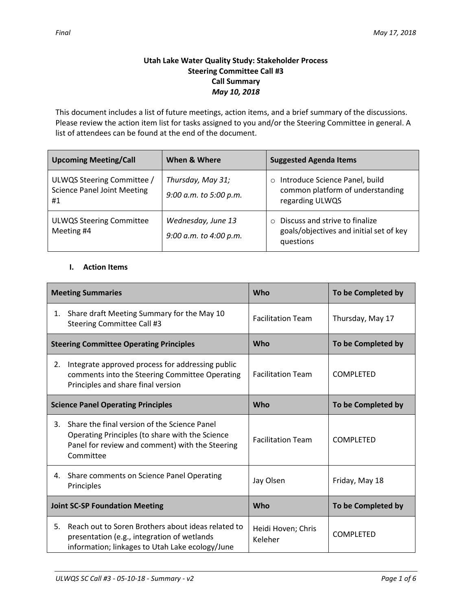### **Utah Lake Water Quality Study: Stakeholder Process Steering Committee Call #3 Call Summary** *May 10, 2018*

This document includes a list of future meetings, action items, and a brief summary of the discussions. Please review the action item list for tasks assigned to you and/or the Steering Committee in general. A list of attendees can be found at the end of the document.

| <b>Upcoming Meeting/Call</b>                                           | When & Where                                 | <b>Suggested Agenda Items</b>                                                                     |
|------------------------------------------------------------------------|----------------------------------------------|---------------------------------------------------------------------------------------------------|
| ULWQS Steering Committee /<br><b>Science Panel Joint Meeting</b><br>#1 | Thursday, May 31;<br>9:00 a.m. to 5:00 p.m.  | Introduce Science Panel, build<br>$\circ$<br>common platform of understanding<br>regarding ULWQS  |
| <b>ULWQS Steering Committee</b><br>Meeting #4                          | Wednesday, June 13<br>9:00 a.m. to 4:00 p.m. | Discuss and strive to finalize<br>$\circ$<br>goals/objectives and initial set of key<br>questions |

### **I. Action Items**

| <b>Meeting Summaries</b>                       |                                                                                                                                                                 | Who                           | To be Completed by |
|------------------------------------------------|-----------------------------------------------------------------------------------------------------------------------------------------------------------------|-------------------------------|--------------------|
| 1.                                             | Share draft Meeting Summary for the May 10<br>Steering Committee Call #3                                                                                        | <b>Facilitation Team</b>      | Thursday, May 17   |
| <b>Steering Committee Operating Principles</b> |                                                                                                                                                                 | Who                           | To be Completed by |
| 2.                                             | Integrate approved process for addressing public<br>comments into the Steering Committee Operating<br>Principles and share final version                        | <b>Facilitation Team</b>      | <b>COMPLETED</b>   |
| <b>Science Panel Operating Principles</b>      |                                                                                                                                                                 | Who                           | To be Completed by |
| 3.                                             | Share the final version of the Science Panel<br>Operating Principles (to share with the Science<br>Panel for review and comment) with the Steering<br>Committee | <b>Facilitation Team</b>      | <b>COMPLETED</b>   |
| 4.                                             | Share comments on Science Panel Operating<br>Principles                                                                                                         | Jay Olsen                     | Friday, May 18     |
| <b>Joint SC-SP Foundation Meeting</b>          |                                                                                                                                                                 | Who                           | To be Completed by |
| 5.                                             | Reach out to Soren Brothers about ideas related to<br>presentation (e.g., integration of wetlands<br>information; linkages to Utah Lake ecology/June            | Heidi Hoven; Chris<br>Keleher | <b>COMPLETED</b>   |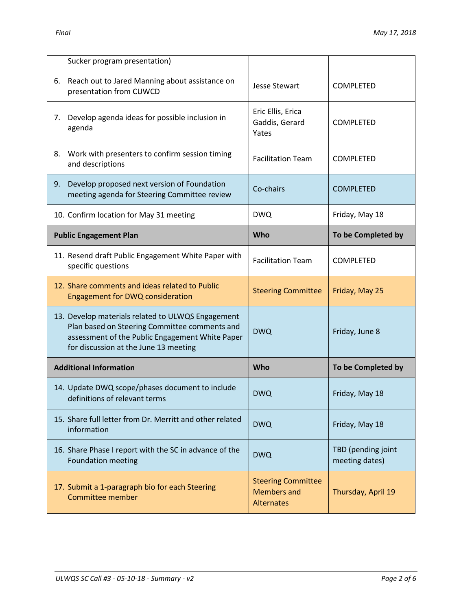| Sucker program presentation)                                                                                                                                                                   |                                              |                                      |
|------------------------------------------------------------------------------------------------------------------------------------------------------------------------------------------------|----------------------------------------------|--------------------------------------|
| Reach out to Jared Manning about assistance on<br>6.<br>presentation from CUWCD                                                                                                                | Jesse Stewart                                | COMPLETED                            |
| Develop agenda ideas for possible inclusion in<br>7.<br>agenda                                                                                                                                 | Eric Ellis, Erica<br>Gaddis, Gerard<br>Yates | <b>COMPLETED</b>                     |
| Work with presenters to confirm session timing<br>8.<br>and descriptions                                                                                                                       | <b>Facilitation Team</b>                     | <b>COMPLETED</b>                     |
| Develop proposed next version of Foundation<br>9.<br>meeting agenda for Steering Committee review                                                                                              | Co-chairs                                    | <b>COMPLETED</b>                     |
| 10. Confirm location for May 31 meeting                                                                                                                                                        | <b>DWQ</b>                                   | Friday, May 18                       |
| <b>Public Engagement Plan</b>                                                                                                                                                                  | Who                                          | To be Completed by                   |
| 11. Resend draft Public Engagement White Paper with<br>specific questions                                                                                                                      | <b>Facilitation Team</b>                     | <b>COMPLETED</b>                     |
| 12. Share comments and ideas related to Public<br>Engagement for DWQ consideration                                                                                                             | <b>Steering Committee</b>                    | Friday, May 25                       |
| 13. Develop materials related to ULWQS Engagement<br>Plan based on Steering Committee comments and<br>assessment of the Public Engagement White Paper<br>for discussion at the June 13 meeting | <b>DWQ</b>                                   | Friday, June 8                       |
|                                                                                                                                                                                                |                                              |                                      |
| <b>Additional Information</b>                                                                                                                                                                  | Who                                          | To be Completed by                   |
| 14. Update DWQ scope/phases document to include<br>definitions of relevant terms                                                                                                               | <b>DWQ</b>                                   | Friday, May 18                       |
| 15. Share full letter from Dr. Merritt and other related<br>information                                                                                                                        | <b>DWQ</b>                                   | Friday, May 18                       |
| 16. Share Phase I report with the SC in advance of the<br><b>Foundation meeting</b>                                                                                                            | <b>DWQ</b>                                   | TBD (pending joint<br>meeting dates) |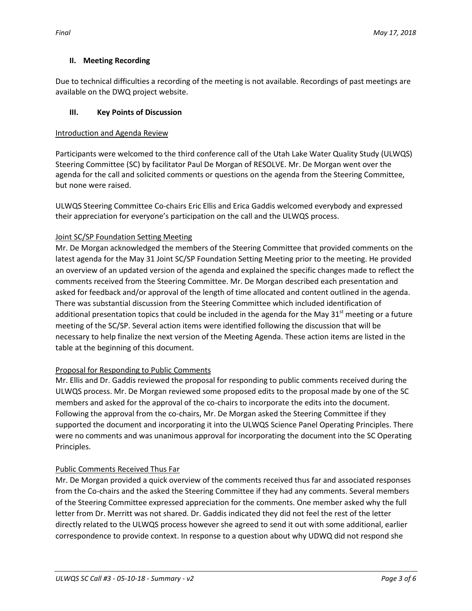### **II. Meeting Recording**

Due to technical difficulties a recording of the meeting is not available. Recordings of past meetings are available on the DWQ project website.

## **III. Key Points of Discussion**

### Introduction and Agenda Review

Participants were welcomed to the third conference call of the Utah Lake Water Quality Study (ULWQS) Steering Committee (SC) by facilitator Paul De Morgan of RESOLVE. Mr. De Morgan went over the agenda for the call and solicited comments or questions on the agenda from the Steering Committee, but none were raised.

ULWQS Steering Committee Co-chairs Eric Ellis and Erica Gaddis welcomed everybody and expressed their appreciation for everyone's participation on the call and the ULWQS process.

## Joint SC/SP Foundation Setting Meeting

Mr. De Morgan acknowledged the members of the Steering Committee that provided comments on the latest agenda for the May 31 Joint SC/SP Foundation Setting Meeting prior to the meeting. He provided an overview of an updated version of the agenda and explained the specific changes made to reflect the comments received from the Steering Committee. Mr. De Morgan described each presentation and asked for feedback and/or approval of the length of time allocated and content outlined in the agenda. There was substantial discussion from the Steering Committee which included identification of additional presentation topics that could be included in the agenda for the May  $31<sup>st</sup>$  meeting or a future meeting of the SC/SP. Several action items were identified following the discussion that will be necessary to help finalize the next version of the Meeting Agenda. These action items are listed in the table at the beginning of this document.

### Proposal for Responding to Public Comments

Mr. Ellis and Dr. Gaddis reviewed the proposal for responding to public comments received during the ULWQS process. Mr. De Morgan reviewed some proposed edits to the proposal made by one of the SC members and asked for the approval of the co-chairs to incorporate the edits into the document. Following the approval from the co-chairs, Mr. De Morgan asked the Steering Committee if they supported the document and incorporating it into the ULWQS Science Panel Operating Principles. There were no comments and was unanimous approval for incorporating the document into the SC Operating Principles.

# Public Comments Received Thus Far

Mr. De Morgan provided a quick overview of the comments received thus far and associated responses from the Co-chairs and the asked the Steering Committee if they had any comments. Several members of the Steering Committee expressed appreciation for the comments. One member asked why the full letter from Dr. Merritt was not shared. Dr. Gaddis indicated they did not feel the rest of the letter directly related to the ULWQS process however she agreed to send it out with some additional, earlier correspondence to provide context. In response to a question about why UDWQ did not respond she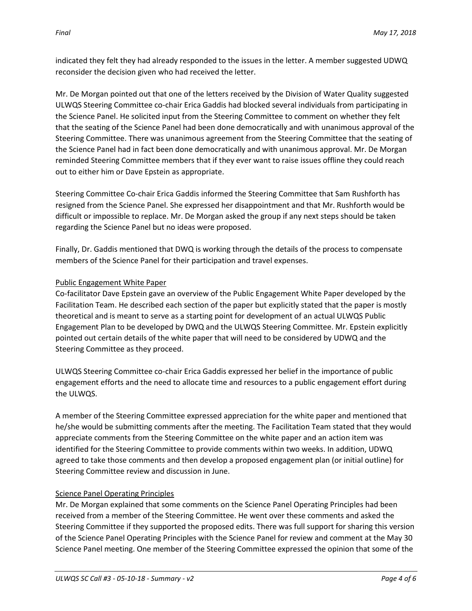indicated they felt they had already responded to the issues in the letter. A member suggested UDWQ reconsider the decision given who had received the letter.

Mr. De Morgan pointed out that one of the letters received by the Division of Water Quality suggested ULWQS Steering Committee co-chair Erica Gaddis had blocked several individuals from participating in the Science Panel. He solicited input from the Steering Committee to comment on whether they felt that the seating of the Science Panel had been done democratically and with unanimous approval of the Steering Committee. There was unanimous agreement from the Steering Committee that the seating of the Science Panel had in fact been done democratically and with unanimous approval. Mr. De Morgan reminded Steering Committee members that if they ever want to raise issues offline they could reach out to either him or Dave Epstein as appropriate.

Steering Committee Co-chair Erica Gaddis informed the Steering Committee that Sam Rushforth has resigned from the Science Panel. She expressed her disappointment and that Mr. Rushforth would be difficult or impossible to replace. Mr. De Morgan asked the group if any next steps should be taken regarding the Science Panel but no ideas were proposed.

Finally, Dr. Gaddis mentioned that DWQ is working through the details of the process to compensate members of the Science Panel for their participation and travel expenses.

### Public Engagement White Paper

Co-facilitator Dave Epstein gave an overview of the Public Engagement White Paper developed by the Facilitation Team. He described each section of the paper but explicitly stated that the paper is mostly theoretical and is meant to serve as a starting point for development of an actual ULWQS Public Engagement Plan to be developed by DWQ and the ULWQS Steering Committee. Mr. Epstein explicitly pointed out certain details of the white paper that will need to be considered by UDWQ and the Steering Committee as they proceed.

ULWQS Steering Committee co-chair Erica Gaddis expressed her belief in the importance of public engagement efforts and the need to allocate time and resources to a public engagement effort during the ULWQS.

A member of the Steering Committee expressed appreciation for the white paper and mentioned that he/she would be submitting comments after the meeting. The Facilitation Team stated that they would appreciate comments from the Steering Committee on the white paper and an action item was identified for the Steering Committee to provide comments within two weeks. In addition, UDWQ agreed to take those comments and then develop a proposed engagement plan (or initial outline) for Steering Committee review and discussion in June.

### Science Panel Operating Principles

Mr. De Morgan explained that some comments on the Science Panel Operating Principles had been received from a member of the Steering Committee. He went over these comments and asked the Steering Committee if they supported the proposed edits. There was full support for sharing this version of the Science Panel Operating Principles with the Science Panel for review and comment at the May 30 Science Panel meeting. One member of the Steering Committee expressed the opinion that some of the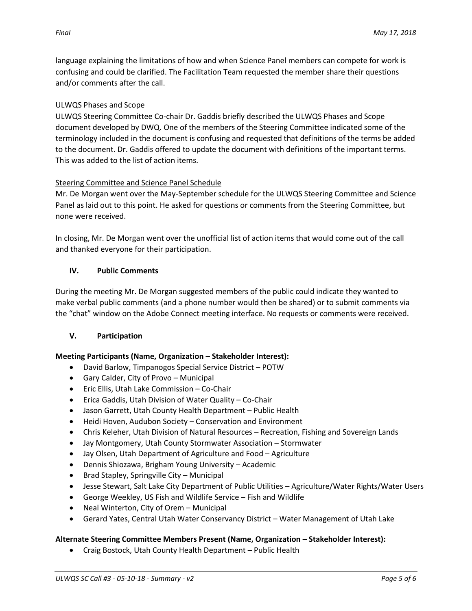language explaining the limitations of how and when Science Panel members can compete for work is confusing and could be clarified. The Facilitation Team requested the member share their questions and/or comments after the call.

## ULWQS Phases and Scope

ULWQS Steering Committee Co-chair Dr. Gaddis briefly described the ULWQS Phases and Scope document developed by DWQ. One of the members of the Steering Committee indicated some of the terminology included in the document is confusing and requested that definitions of the terms be added to the document. Dr. Gaddis offered to update the document with definitions of the important terms. This was added to the list of action items.

### Steering Committee and Science Panel Schedule

Mr. De Morgan went over the May-September schedule for the ULWQS Steering Committee and Science Panel as laid out to this point. He asked for questions or comments from the Steering Committee, but none were received.

In closing, Mr. De Morgan went over the unofficial list of action items that would come out of the call and thanked everyone for their participation.

## **IV. Public Comments**

During the meeting Mr. De Morgan suggested members of the public could indicate they wanted to make verbal public comments (and a phone number would then be shared) or to submit comments via the "chat" window on the Adobe Connect meeting interface. No requests or comments were received.

# **V. Participation**

### **Meeting Participants (Name, Organization – Stakeholder Interest):**

- David Barlow, Timpanogos Special Service District POTW
- Gary Calder, City of Provo Municipal
- Eric Ellis, Utah Lake Commission Co-Chair
- Erica Gaddis, Utah Division of Water Quality Co-Chair
- Jason Garrett, Utah County Health Department Public Health
- Heidi Hoven, Audubon Society Conservation and Environment
- Chris Keleher, Utah Division of Natural Resources Recreation, Fishing and Sovereign Lands
- Jay Montgomery, Utah County Stormwater Association Stormwater
- Jay Olsen, Utah Department of Agriculture and Food Agriculture
- Dennis Shiozawa, Brigham Young University Academic
- Brad Stapley, Springville City Municipal
- Jesse Stewart, Salt Lake City Department of Public Utilities Agriculture/Water Rights/Water Users
- George Weekley, US Fish and Wildlife Service Fish and Wildlife
- Neal Winterton, City of Orem Municipal
- Gerard Yates, Central Utah Water Conservancy District Water Management of Utah Lake

### **Alternate Steering Committee Members Present (Name, Organization – Stakeholder Interest):**

Craig Bostock, Utah County Health Department – Public Health